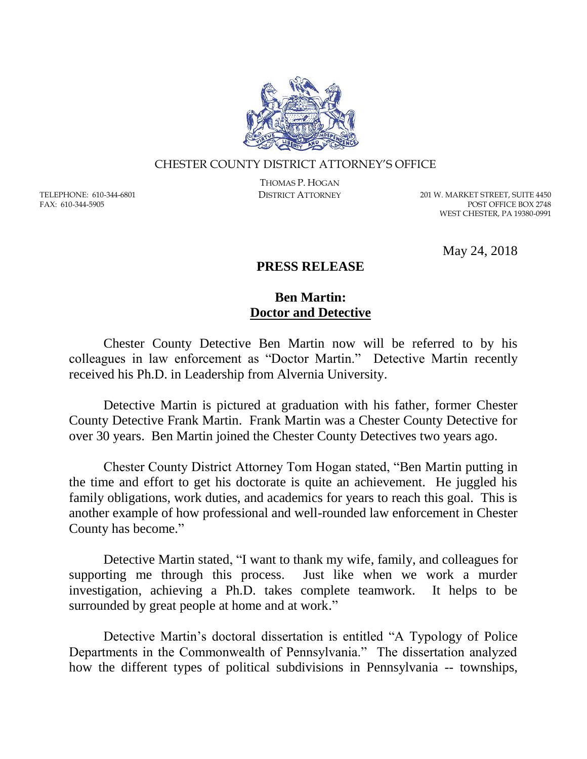

## CHESTER COUNTY DISTRICT ATTORNEY'S OFFICE

TELEPHONE: 610-344-6801 FAX: 610-344-5905

THOMAS P. HOGAN

DISTRICT ATTORNEY 201 W. MARKET STREET, SUITE 4450 POST OFFICE BOX 2748 WEST CHESTER, PA 19380-0991

May 24, 2018

## **PRESS RELEASE**

## **Ben Martin: Doctor and Detective**

Chester County Detective Ben Martin now will be referred to by his colleagues in law enforcement as "Doctor Martin." Detective Martin recently received his Ph.D. in Leadership from Alvernia University.

Detective Martin is pictured at graduation with his father, former Chester County Detective Frank Martin. Frank Martin was a Chester County Detective for over 30 years. Ben Martin joined the Chester County Detectives two years ago.

Chester County District Attorney Tom Hogan stated, "Ben Martin putting in the time and effort to get his doctorate is quite an achievement. He juggled his family obligations, work duties, and academics for years to reach this goal. This is another example of how professional and well-rounded law enforcement in Chester County has become."

Detective Martin stated, "I want to thank my wife, family, and colleagues for supporting me through this process. Just like when we work a murder investigation, achieving a Ph.D. takes complete teamwork. It helps to be surrounded by great people at home and at work."

Detective Martin's doctoral dissertation is entitled "A Typology of Police Departments in the Commonwealth of Pennsylvania." The dissertation analyzed how the different types of political subdivisions in Pennsylvania -- townships,